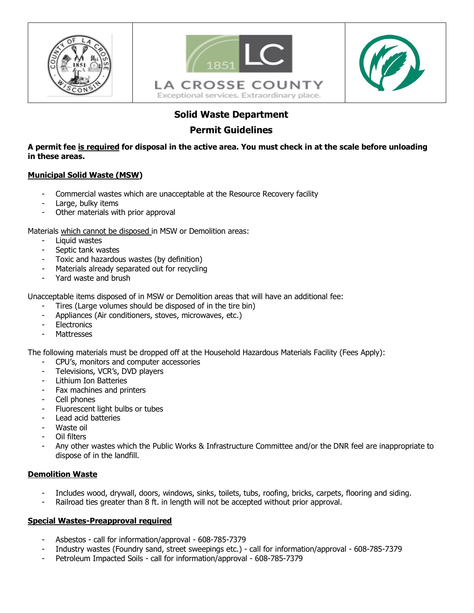





# **Solid Waste Department**

## **Permit Guidelines**

**A permit fee is required for disposal in the active area. You must check in at the scale before unloading in these areas.** 

### **Municipal Solid Waste (MSW)**

- Commercial wastes which are unacceptable at the Resource Recovery facility
- Large, bulky items
- Other materials with prior approval

Materials which cannot be disposed in MSW or Demolition areas:

- Liquid wastes
- Septic tank wastes
- Toxic and hazardous wastes (by definition)
- Materials already separated out for recycling
- Yard waste and brush

Unacceptable items disposed of in MSW or Demolition areas that will have an additional fee:

- Tires (Large volumes should be disposed of in the tire bin)
- Appliances (Air conditioners, stoves, microwaves, etc.)
- **Electronics**
- **Mattresses**

The following materials must be dropped off at the Household Hazardous Materials Facility (Fees Apply):

- CPU's, monitors and computer accessories
- Televisions, VCR's, DVD players
- Lithium Ion Batteries
- Fax machines and printers
- Cell phones
- Fluorescent light bulbs or tubes
- Lead acid batteries
- Waste oil
- Oil filters
- Any other wastes which the Public Works & Infrastructure Committee and/or the DNR feel are inappropriate to dispose of in the landfill.

### **Demolition Waste**

- Includes wood, drywall, doors, windows, sinks, toilets, tubs, roofing, bricks, carpets, flooring and siding.
- Railroad ties greater than 8 ft. in length will not be accepted without prior approval.

### **Special Wastes-Preapproval required**

- Asbestos call for information/approval 608-785-7379
- Industry wastes (Foundry sand, street sweepings etc.) call for information/approval 608-785-7379
- Petroleum Impacted Soils call for information/approval 608-785-7379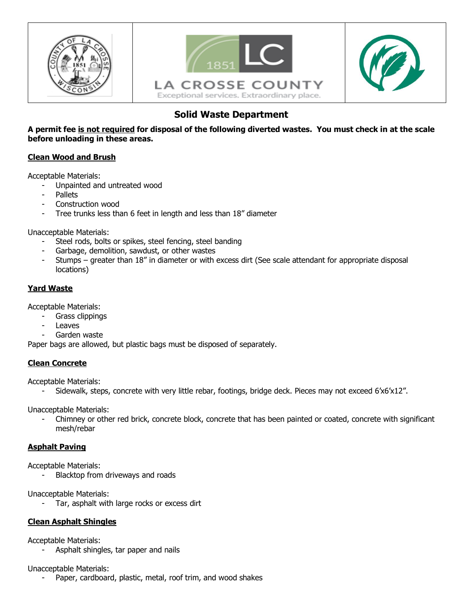





# **Solid Waste Department**

**A permit fee is not required for disposal of the following diverted wastes. You must check in at the scale before unloading in these areas.** 

### **Clean Wood and Brush**

Acceptable Materials:

- Unpainted and untreated wood
- **Pallets**
- Construction wood
- Tree trunks less than 6 feet in length and less than 18" diameter

Unacceptable Materials:

- Steel rods, bolts or spikes, steel fencing, steel banding
- Garbage, demolition, sawdust, or other wastes
- Stumps greater than 18" in diameter or with excess dirt (See scale attendant for appropriate disposal locations)

## **Yard Waste**

Acceptable Materials:

- Grass clippings
- **Leaves**
- Garden waste

Paper bags are allowed, but plastic bags must be disposed of separately.

### **Clean Concrete**

Acceptable Materials:

Sidewalk, steps, concrete with very little rebar, footings, bridge deck. Pieces may not exceed 6'x6'x12".

Unacceptable Materials:

- Chimney or other red brick, concrete block, concrete that has been painted or coated, concrete with significant mesh/rebar

### **Asphalt Paving**

Acceptable Materials:

Blacktop from driveways and roads

Unacceptable Materials:

Tar, asphalt with large rocks or excess dirt

### **Clean Asphalt Shingles**

Acceptable Materials:

- Asphalt shingles, tar paper and nails

Unacceptable Materials:

Paper, cardboard, plastic, metal, roof trim, and wood shakes